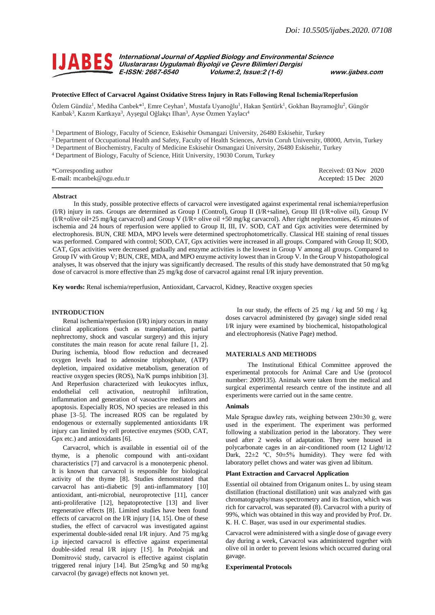

**International Journal of Applied Biology and Environmental Science ULICE S** International Journal of Applied Biology and Environmenta<br> **ULICE S** Uluslararası Uygulamalı Biyoloji ve Çevre Bilimleri Dergisi **E-ISSN: 2667-6540 Volume:2, Issue:2 (1-6) www.ijabes.com**

# **Protective Effect of Carvacrol Against Oxidative Stress Injury in Rats Following Renal Ischemia/Reperfusion**

Özlem Gündüz<sup>1</sup>, Mediha Canbek\*<sup>1</sup>, Emre Ceyhan<sup>1</sup>, Mustafa Uyanoğlu<sup>1</sup>, Hakan Şentürk<sup>1</sup>, Gokhan Bayramoğlu<sup>2</sup>, Güngör Kanbak<sup>3</sup>, Kazım Kartkaya<sup>3</sup>, Ayşegul Oğlakçı Ilhan<sup>3</sup>, Ayse Özmen Yaylacı<sup>4</sup>

<sup>1</sup> Department of Biology, Faculty of Science, Eskisehir Osmangazi University, 26480 Eskisehir, Turkey

- <sup>2</sup> Department of Occupational Health and Safety, Faculty of Health Sciences, Artvin Coruh University, 08000, Artvin, Turkey
- <sup>3</sup> Department of Biochemistry, Faculty of Medicine Eskisehir Osmangazi University, 26480 Eskisehir, Turkey
- <sup>4</sup> Department of Biology, Faculty of Science, Hitit University, 19030 Corum, Turkey

| *Corresponding author      | Received: $03$ Nov $2020$ |  |
|----------------------------|---------------------------|--|
| E-mail: mcanbek@ogu.edu.tr | Accepted: 15 Dec 2020     |  |

#### **Abstract**

In this study, possible protective effects of carvacrol were investigated against experimental renal ischemia/reperfusion (I/R) injury in rats. Groups are determined as Group I (Control), Group II (I/R+saline), Group III (I/R+olive oil), Group IV (I/R+olive oil+25 mg/kg carvacrol) and Group V (I/R+ olive oil +50 mg/kg carvacrol). After right nephrectomies, 45 minutes of ischemia and 24 hours of reperfusion were applied to Group II, III, IV. SOD, CAT and Gpx activities were determined by electrophoresis. BUN, CRE MDA, MPO levels were determined spectrophotometrically. Classical HE staining of renal tissues was performed. Compared with control; SOD, CAT, Gpx activities were increased in all groups. Compared with Group II; SOD, CAT, Gpx activities were decreased gradually and enzyme activities is the lowest in Group V among all groups. Compared to Group IV with Group V; BUN, CRE, MDA, and MPO enzyme activity lowest than in Group V. In the Group V histopathological analyses, It was observed that the injury was significantly decreased. The results of this study have demonstrated that 50 mg/kg dose of carvacrol is more effective than 25 mg/kg dose of carvacrol against renal I/R injury prevention.

**Key words:** Renal ischemia/reperfusion, Antioxidant, Carvacrol, Kidney, Reactive oxygen species

# **INTRODUCTION**

Renal ischemia/reperfusion (I/R) injury occurs in many clinical applications (such as transplantation, partial nephrectomy, shock and vascular surgery) and this injury constitutes the main reason for acute renal failure [1, 2]. During ischemia, blood flow reduction and decreased oxygen levels lead to adenosine triphosphate, (ATP) depletion, impaired oxidative metabolism, generation of reactive oxygen species (ROS), Na/K pumps inhibition [3]. And Reperfusion characterized with leukocytes influx, endothelial cell activation, neutrophil infiltration, inflammation and generation of vasoactive mediators and apoptosis. Especially ROS, NO species are released in this phase [3–5]. The increased ROS can be regulated by endogenous or externally supplemented antioxidants I/R injury can limited by cell protective enzymes (SOD, CAT, Gpx etc.) and antioxidants [6].

Carvacrol, which is available in essential oil of the thyme, is a phenolic compound with anti-oxidant characteristics [7] and carvacrol is a monoterpenic phenol. It is known that carvacrol is responsible for biological activity of the thyme [8]. Studies demonstrated that carvacrol has anti-diabetic [9] anti-inflammatory [10] antioxidant, anti-microbial, neuroprotective [11], cancer anti-proliferative [12], hepatoprotective [13] and liver regenerative effects [8]. Limited studies have been found effects of carvacrol on the I/R injury [14, 15]. One of these studies, the effect of carvacrol was investigated against experimental double-sided renal I/R injury. And 75 mg/kg i.p injected carvacrol is effective against experimental double-sided renal I/R injury [15]. In Potočnjak and Domitrović study, carvacrol is effective against cisplatin triggered renal injury [14]. But 25mg/kg and 50 mg/kg carvacrol (by gavage) effects not known yet.

In our study, the effects of 25 mg / kg and 50 mg / kg doses carvacrol administered (by gavage) single sided renal I/R injury were examined by biochemical, histopathological and electrophoresis (Native Page) method.

## **MATERIALS AND METHODS**

The Institutional Ethical Committee approved the experimental protocols for Animal Care and Use (protocol number: 2009135). Animals were taken from the medical and surgical experimental research centre of the institute and all experiments were carried out in the same centre.

#### **Animals**

Male Sprague dawley rats, weighing between 230±30 g, were used in the experiment. The experiment was performed following a stabilization period in the laboratory. They were used after 2 weeks of adaptation. They were housed in polycarbonate cages in an air-conditioned room (12 Light/12 Dark,  $22\pm2$  °C,  $50\pm5\%$  humidity). They were fed with laboratory pellet chows and water was given ad libitum.

# **Plant Extraction and Carvacrol Application**

Essential oil obtained from Origanum onites L. by using steam distillation (fractional distillation) unit was analyzed with gas chromatography/mass spectrometry and its fraction, which was rich for carvacrol, was separated (8). Carvacrol with a purity of 99%, which was obtained in this way and provided by Prof. Dr. K. H. C. Başer, was used in our experimental studies.

Carvacrol were administered with a single dose of gavage every day during a week, Carvacrol was administered together with olive oil in order to prevent lesions which occurred during oral gavage.

## **Experimental Protocols**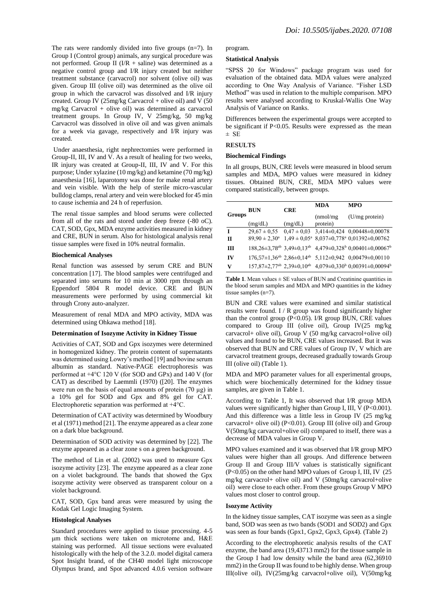The rats were randomly divided into five groups  $(n=7)$ . In Group I (Control group) animals, any surgical procedure was not performed. Group II ( $I/R$  + saline) was determined as a negative control group and I/R injury created but neither treatment substance (carvacrol) nor solvent (olive oil) was given. Group III (olive oil) was determined as the olive oil group in which the carvacrol was dissolved and I/R injury created. Group IV (25mg/kg Carvacrol + olive oil) and V (50 mg/kg Carvacrol + olive oil) was determined as carvacrol treatment groups. In Group IV, V 25mg/kg, 50 mg/kg Carvacrol was dissolved in olive oil and was given animals for a week via gavage, respectively and I/R injury was created.

Under anaesthesia, right nephrectomies were performed in Group-II, III, IV and V. As a result of healing for two weeks, IR injury was created at Group-II, III, IV and V. For this purpose; Under xylazine (10 mg/kg) and ketamine (70 mg/kg) anaesthesia [16], laparotomy was done for make renal artery and vein visible. With the help of sterile micro-vascular bulldog clamps, renal artery and vein were blocked for 45 min to cause ischemia and 24 h of reperfusion.

The renal tissue samples and blood serums were collected from all of the rats and stored under deep freeze (-80 oC). CAT, SOD, Gpx, MDA enzyme activities measured in kidney and CRE, BUN in serum. Also for histological analysis renal tissue samples were fixed in 10% neutral formalin.

# **Biochemical Analyses**

Renal function was assessed by serum CRE and BUN concentration [17]. The blood samples were centrifuged and separated into serums for 10 min at 3000 rpm through an Eppendorf 5804 R model device. CRE and BUN measurements were performed by using commercial kit through Crony auto-analyzer.

Measurement of renal MDA and MPO activity, MDA was determined using Ohkawa method [18].

#### **Determination of Isozyme Activity in Kidney Tissue**

Activities of CAT, SOD and Gpx isozymes were determined in homogenized kidney. The protein content of supernatants was determined using Lowry's method [19] and bovine serum albumin as standard. Native-PAGE electrophoresis was performed at +4°C 120 V (for SOD and GPx) and 140 V (for CAT) as described by Laemmli (1970) ([20]. The enzymes were run on the basis of equal amounts of protein (70 µg) in a 10% gel for SOD and Gpx and 8% gel for CAT. Electrophoretic separation was performed at +4°C.

Determination of CAT activity was determined by Woodbury et al (1971) method [21]. The enzyme appeared as a clear zone on a dark blue background.

Determination of SOD activity was determined by [22]. The enzyme appeared as a clear zone s on a green background.

The method of Lin et al. (2002) was used to measure Gpx isozyme activity [23]. The enzyme appeared as a clear zone on a violet background. The bands that showed the Gpx isozyme activity were observed as transparent colour on a violet background.

CAT, SOD, Gpx band areas were measured by using the Kodak Gel Logic Imaging System.

## **Histological Analyses**

Standard procedures were applied to tissue processing. 4-5 μm thick sections were taken on microtome and, H&E staining was performed. All tissue sections were evaluated histologically with the help of the 3.2.0. model digital camera Spot Insight brand, of the CH40 model light microscope Olympus brand, and Spot advanced 4.0.6 version software

#### program.

# **Statistical Analysis**

"SPSS 20 for Windows" package program was used for evaluation of the obtained data. MDA values were analyzed according to One Way Analysis of Variance. "Fisher LSD Method" was used in relation to the multiple comparison. MPO results were analysed according to Kruskal-Wallis One Way Analysis of Variance on Ranks.

Differences between the experimental groups were accepted to be significant if P<0.05. Results were expressed as the mean ± SE

# **RESULTS**

## **Biochemical Findings**

In all groups, BUN, CRE levels were measured in blood serum samples and MDA, MPO values were measured in kidney tissues. Obtained BUN, CRE, MDA MPO values were compared statistically, between groups.

|        | BUN                      | <b>CRE</b> | <b>MDA</b>            | <b>MPO</b>                                                                                                                      |  |
|--------|--------------------------|------------|-----------------------|---------------------------------------------------------------------------------------------------------------------------------|--|
| Groups | (mg/dL)                  | (mg/dL)    | (mmol/mg)<br>protein) | (U/mg protein)                                                                                                                  |  |
| T      | $29,67 \pm 0.55$         |            |                       | $0,47 \pm 0,03$ 3,414±0,424 0,00448±0,00078                                                                                     |  |
| П      | $89,90 \pm 2,30^{\circ}$ |            |                       | $1,49 \pm 0,05^{\text{a}}$ 8,037 $\pm$ 0,778 <sup>a</sup> 0,01392 $\pm$ 0,00762                                                 |  |
| ш      |                          |            |                       | $188,26\pm3,78^{ab}$ 3,49 $\pm$ 0,13 <sup>ab</sup> 4,479 $\pm$ 0,328 <sup>b</sup> 0,00401 $\pm$ 0,00067 <sup>b</sup>            |  |
| IV     |                          |            |                       | $176,57\pm1,36^{ab}$ $2,86\pm0,14^{ab}$ $5,112\pm0,942$ $0,00479\pm0,00110$                                                     |  |
| V      |                          |            |                       | $157,87 \pm 2,77$ <sup>ab</sup> 2,39 $\pm$ 0,10 <sup>ab</sup> 4,079 $\pm$ 0,330 <sup>b</sup> 0,00391 $\pm$ 0,00094 <sup>b</sup> |  |

**Table 1.** Mean values  $\pm$  SE values of BUN and Creatinine quantities in the blood serum samples and MDA and MPO quantities in the kidney tissue samples (n=7).

BUN and CRE values were examined and similar statistical results were found. I / R group was found significantly higher than the control group (P<0.05). I/R group BUN, CRE values compared to Group III (olive oil), Group IV(25 mg/kg carvacrol+ olive oil), Group V (50 mg/kg carvacrol+olive oil) values and found to be BUN, CRE values increased. But it was observed that BUN and CRE values of Group IV, V which are carvacrol treatment groups, decreased gradually towards Group III (olive oil) (Table 1).

MDA and MPO parameter values for all experimental groups, which were biochemically determined for the kidney tissue samples, are given in Table 1.

According to Table 1, It was observed that I/R group MDA values were significantly higher than Group I, III, V (P<0.001). And this difference was a little less in Group IV (25 mg/kg carvacrol+ olive oil) (P<0.01). Group III (olive oil) and Group V(50mg/kg carvacrol+olive oil) compared to itself, there was a decrease of MDA values in Group V.

MPO values examined and it was observed that I/R group MPO values were higher than all groups. And difference between Group II and Group III/V values is statistically significant (P<0.05) on the other hand MPO values of Group I, III, IV (25 mg/kg carvacrol+ olive oil) and V (50mg/kg carvacrol+olive oil) were close to each other. From these groups Group V MPO values most closer to control group.

# **Isozyme Activity**

In the kidney tissue samples, CAT isozyme was seen as a single band, SOD was seen as two bands (SOD1 and SOD2) and Gpx was seen as four bands (Gpx1, Gpx2, Gpx3, Gpx4). (Table 2)

According to the electrophoretic analysis results of the CAT enzyme, the band area (19,43713 mm2) for the tissue sample in the Group I had low density while the band area (62,36910 mm2) in the Group II was found to be highly dense. When group III(olive oil), IV(25mg/kg carvacrol+olive oil), V(50mg/kg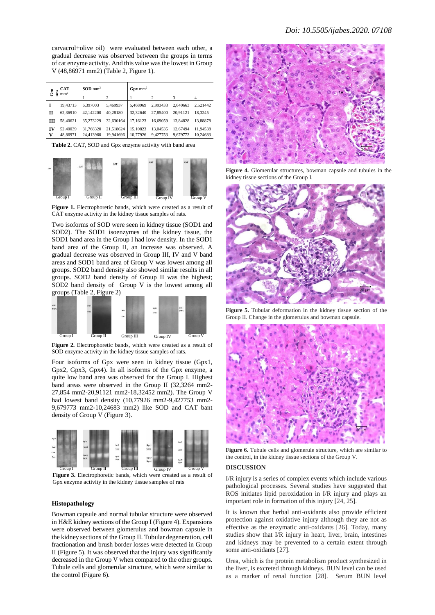carvacrol+olive oil) were evaluated between each other, a gradual decrease was observed between the groups in terms of cat enzyme activity. And this value was the lowest in Group V (48,86971 mm2) (Table 2, Figure 1).

| CAT<br>යි<br>Ě<br>mm <sup>2</sup> |                      | $SOD \, \text{mm}^2$   |                        | $Gpx$ mm <sup>2</sup> |                      |                      |                      |
|-----------------------------------|----------------------|------------------------|------------------------|-----------------------|----------------------|----------------------|----------------------|
|                                   |                      |                        | $\mathcal{P}$          |                       | 2                    |                      | 4                    |
|                                   | 19.43713             | 6.397003               | 5.469937               | 5.468969              | 2.993433             | 2.640663             | 2.521442             |
| П                                 | 62,36910             | 42,142200              | 40.28180               | 32,32640              | 27,85400             | 20.91121             | 18.3245              |
| ш                                 | 58,40621             | 35,273229              | 32,630164              | 17.16123              | 16,69059             | 13,84828             | 13.88878             |
| IV<br>v                           | 52,40039<br>48,86971 | 31,768320<br>24,413960 | 21.518624<br>19.941696 | 15.10823<br>10,77926  | 13,04535<br>9,427753 | 12,67494<br>9.679773 | 11.94538<br>10.24683 |

**Table 2.** CAT, SOD and Gpx enzyme activity with band area



**Figure 1.** Electrophoretic bands, which were created as a result of CAT enzyme activity in the kidney tissue samples of rats.

Two isoforms of SOD were seen in kidney tissue (SOD1 and SOD2). The SOD1 isoenzymes of the kidney tissue, the SOD1 band area in the Group I had low density. In the SOD1 band area of the Group II, an increase was observed. A gradual decrease was observed in Group III, IV and V band areas and SOD1 band area of Group V was lowest among all groups. SOD2 band density also showed similar results in all groups. SOD2 band density of Group II was the highest; SOD2 band density of Group V is the lowest among all groups (Table 2, Figure 2)



**Figure 2.** Electrophoretic bands, which were created as a result of SOD enzyme activity in the kidney tissue samples of rats.

Four isoforms of Gpx were seen in kidney tissue (Gpx1, Gpx2, Gpx3, Gpx4). In all isoforms of the Gpx enzyme, a quite low band area was observed for the Group I. Highest band areas were observed in the Group II (32,3264 mm2- 27,854 mm2-20,91121 mm2-18,32452 mm2). The Group V had lowest band density (10,77926 mm2-9,427753 mm2- 9,679773 mm2-10,24683 mm2) like SOD and CAT bant density of Group V (Figure 3).



**Figure 3.** Electrophoretic bands, which were created as a result of Gpx enzyme activity in the kidney tissue samples of rats

### **Histopathology**

Bowman capsule and normal tubular structure were observed in H&E kidney sections of the Group I (Figure 4). Expansions were observed between glomerulus and bowman capsule in the kidney sections of the Group II. Tubular degeneration, cell fractionation and brush border losses were detected in Group II (Figure 5). It was observed that the injury was significantly decreased in the Group V when compared to the other groups. Tubule cells and glomerular structure, which were similar to the control (Figure 6).



**Figure 4.** Glomerular structures, bowman capsule and tubules in the kidney tissue sections of the Group I.



**Figure 5.** Tubular deformation in the kidney tissue section of the Group II. Change in the glomerulus and bowman capsule.



**Figure 6.** Tubule cells and glomerule structure, which are similar to the control, in the kidney tissue sections of the Group V.

## **DISCUSSION**

I/R injury is a series of complex events which include various pathological processes. Several studies have suggested that ROS initiates lipid peroxidation in I/R injury and plays an important role in formation of this injury [24, 25].

It is known that herbal anti-oxidants also provide efficient protection against oxidative injury although they are not as effective as the enzymatic anti-oxidants [26]. Today, many studies show that I/R injury in heart, liver, brain, intestines and kidneys may be prevented to a certain extent through some anti-oxidants [27].

Urea, which is the protein metabolism product synthesized in the liver, is excreted through kidneys. BUN level can be used as a marker of renal function [28]. Serum BUN level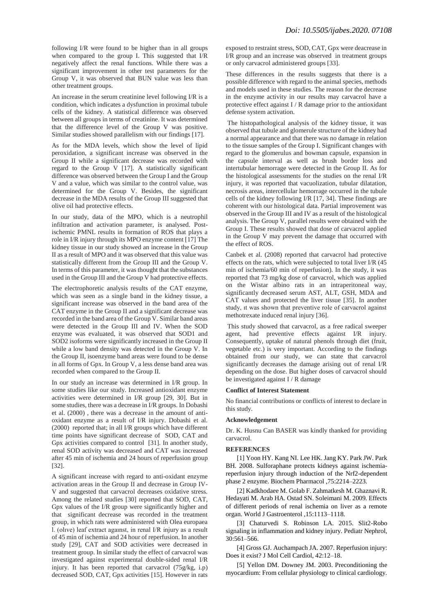following I/R were found to be higher than in all groups when compared to the group I. This suggested that I/R negatively affect the renal functions. While there was a significant improvement in other test parameters for the Group V, it was observed that BUN value was less than other treatment groups.

An increase in the serum creatinine level following I/R is a condition, which indicates a dysfunction in proximal tubule cells of the kidney. A statistical difference was observed between all groups in terms of creatinine. It was determined that the difference level of the Group V was positive. Similar studies showed parallelism with our findings [17].

As for the MDA levels, which show the level of lipid peroxidation, a significant increase was observed in the Group II while a significant decrease was recorded with regard to the Group V [17]. A statistically significant difference was observed between the Group I and the Group V and a value, which was similar to the control value, was determined for the Group V. Besides, the significant decrease in the MDA results of the Group III suggested that olive oil had protective effects.

In our study, data of the MPO, which is a neutrophil infiltration and activation parameter, is analysed. Postischemic PMNL results in formation of ROS that plays a role in I/R injury through its MPO enzyme content [17] The kidney tissue in our study showed an increase in the Group II as a result of MPO and it was observed that this value was statistically different from the Group III and the Group V. In terms of this parameter, it was thought that the substances used in the Group III and the Group V had protective effects.

The electrophoretic analysis results of the CAT enzyme, which was seen as a single band in the kidney tissue, a significant increase was observed in the band area of the CAT enzyme in the Group II and a significant decrease was recorded in the band area of the Group V. Similar band areas were detected in the Group III and IV. When the SOD enzyme was evaluated, it was observed that SOD1 and SOD2 isoforms were significantly increased in the Group II while a low band density was detected in the Group V. In the Group II, isoenzyme band areas were found to be dense in all forms of Gpx. In Group V, a less dense band area was recorded when compared to the Group II.

In our study an increase was determined in I/R group. In some studies like our study. Increased antioxidant enzyme activities were determined in I/R group [29, 30]. But in some studies, there was a decrease in I/R groups. In Dobashi et al. (2000) , there was a decrease in the amount of antioxidant enzyme as a result of I/R injury. Dobashi et al. (2000) reported that; in all I/R groups which have different time points have significant decrease of SOD, CAT and Gpx activities compared to control [31]. In another study, renal SOD activity was decreased and CAT was increased after 45 min of ischemia and 24 hours of reperfusion group [32].

A significant increase with regard to anti-oxidant enzyme activation areas in the Group II and decrease in Group IV-V and suggested that carvacrol decreases oxidative stress. Among the related studies [30] reported that SOD, CAT, Gpx values of the I/R group were significantly higher and that significant decrease was recorded in the treatment group, in which rats were administered with Olea europaea l. (olıve) leaf extract agaınst, in renal I/R injury as a result of 45 min of ischemia and 24 hour of reperfusion. In another study [29], CAT and SOD activities were decreased in treatment group. In similar study the effect of carvacrol was investigated against experimental double-sided renal I/R injury. It has been reported that carvacrol (75g/kg, i.p) decreased SOD, CAT, Gpx activities [15]. However in rats exposed to restraint stress, SOD, CAT, Gpx were deacrease in I/R group and an increase was observed in treatment groups or only carvacrol administered groups [33].

These differences in the results suggests that there is a possible difference with regard to the animal species, methods and models used in these studies. The reason for the decrease in the enzyme activity in our results may carvacrol have a protective effect against  $I/R$  damage prior to the antioxidant defense system activation.

The histopathological analysis of the kidney tissue, it was observed that tubule and glomerule structure of the kidney had a normal appearance and that there was no damage in relation to the tissue samples of the Group I. Significant changes with regard to the glomerulus and bowman capsule, expansion in the capsule interval as well as brush border loss and intertubular hemorrage were detected in the Group II. As for the histological assessments for the studies on the renal I/R injury, it was reported that vacuolization, tubular dilatation, necrosis areas, intercellular hemorrage occurred in the tubule cells of the kidney following I/R [17, 34]. These findings are coherent with our histological data. Partial improvement was observed in the Group III and IV as a result of the histological analysis. The Group V, parallel results were obtained with the Group I. These results showed that dose of carvacrol applied in the Group V may prevent the damage that occurred with the effect of ROS.

Canbek et al. (2008) reported that carvacrol had protective effects on the rats, which were subjected to total liver I/R (45 min of ischemia/60 min of reperfusion). In the study, it was reported that 73 mg/kg dose of carvacrol, which was applied on the Wistar albino rats in an intraperitoneal way, significantly decreased serum AST, ALT, GSH, MDA and CAT values and protected the liver tissue [35]. In another study, ıt was shown that preventive role of carvacrol against methotrexate induced renal injury [36].

This study showed that carvacrol, as a free radical sweeper agent, had preventive effects against I/R injury. Consequently, uptake of natural phenols through diet (fruit, vegetable etc.) is very important. According to the findings obtained from our study, we can state that carvacrol significantly decreases the damage arising out of renal I/R depending on the dose. But higher doses of carvacrol should be investigated against I / R damage

## **Conflict of Interest Statement**

No financial contributions or conflicts of interest to declare in this study.

### **Acknowledgement**

Dr. K. Husnu Can BASER was kindly thanked for providing carvacrol.

## **REFERENCES**

[1] Yoon HY. Kang NI. Lee HK. Jang KY. Park JW. Park BH. 2008. Sulforaphane protects kidneys against ischemiareperfusion injury through induction of the Nrf2-dependent phase 2 enzyme. Biochem Pharmacol ,75:2214–2223.

[2] Kadkhodaee M. Golab F. Zahmatkesh M. Ghaznavi R. Hedayati M. Arab HA. Ostad SN. Soleimani M. 2009. Effects of different periods of renal ischemia on liver as a remote organ. World J Gastroenterol ,15:1113–1118.

[3] Chaturvedi S. Robinson LA. 2015. Slit2-Robo signaling in inflammation and kidney injury. Pediatr Nephrol, 30:561–566.

[4] Gross GJ. Auchampach JA. 2007. Reperfusion injury: Does it exist? J Mol Cell Cardiol, 42:12–18.

[5] Yellon DM. Downey JM. 2003. Preconditioning the myocardium: From cellular physiology to clinical cardiology.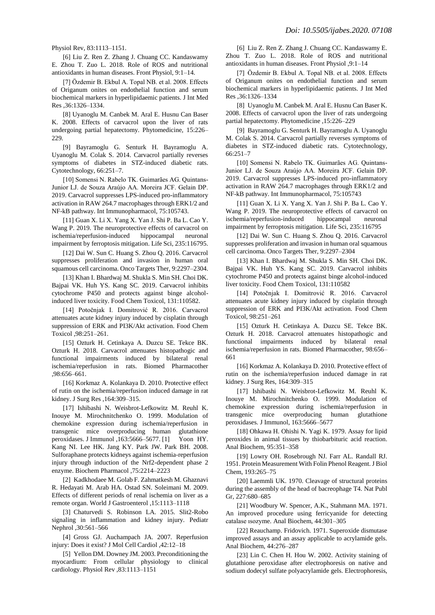Physiol Rev, 83:1113–1151.

[6] Liu Z. Ren Z. Zhang J. Chuang CC. Kandaswamy E. Zhou T. Zuo L. 2018. Role of ROS and nutritional antioxidants in human diseases. Front Physiol, 9:1–14.

[7] Özdemir B. Ekbul A. Topal NB. et al. 2008. Effects of Origanum onites on endothelial function and serum biochemical markers in hyperlipidaemic patients. J Int Med Res ,36:1326–1334.

[8] Uyanoglu M. Canbek M. Aral E. Husnu Can Baser K. 2008. Effects of carvacrol upon the liver of rats undergoing partial hepatectomy. Phytomedicine, 15:226– 229.

[9] Bayramoglu G. Senturk H. Bayramoglu A. Uyanoglu M. Colak S. 2014. Carvacrol partially reverses symptoms of diabetes in STZ-induced diabetic rats. Cytotechnology, 66:251–7.

[10] Somensi N. Rabelo TK. Guimarães AG. Quintans-Junior LJ. de Souza Araújo AA. Moreira JCF. Gelain DP. 2019. Carvacrol suppresses LPS-induced pro-inflammatory activation in RAW 264.7 macrophages through ERK1/2 and NF-kB pathway. Int Immunopharmacol, 75:105743.

[11] Guan X. Li X. Yang X. Yan J. Shi P. Ba L. Cao Y. Wang P. 2019. The neuroprotective effects of carvacrol on ischemia/reperfusion-induced hippocampal neuronal impairment by ferroptosis mitigation. Life Sci, 235:116795.

[12] Dai W. Sun C. Huang S. Zhou Q. 2016. Carvacrol suppresses proliferation and invasion in human oral squamous cell carcinoma. Onco Targets Ther, 9:2297–2304.

[13] Khan I. Bhardwaj M. Shukla S. Min SH. Choi DK. Bajpai VK. Huh YS. Kang SC. 2019. Carvacrol inhibits cytochrome P450 and protects against binge alcoholinduced liver toxicity. Food Chem Toxicol, 131:110582.

[14] Potočnjak I. Domitrović R. 2016. Carvacrol attenuates acute kidney injury induced by cisplatin through suppression of ERK and PI3K/Akt activation. Food Chem Toxicol ,98:251–261.

[15] Ozturk H. Cetinkaya A. Duzcu SE. Tekce BK. Ozturk H. 2018. Carvacrol attenuates histopathogic and functional impairments induced by bilateral renal ischemia/reperfusion in rats. Biomed Pharmacother ,98:656–661.

[16] Korkmaz A. Kolankaya D. 2010. Protective effect of rutin on the ischemia/reperfusion induced damage in rat kidney. J Surg Res ,164:309–315.

[17] Ishibashi N. Weisbrot-Lefkowitz M. Reuhl K. Inouye M. Mirochnitchenko O. 1999. Modulation of chemokine expression during ischemia/reperfusion in transgenic mice overproducing human glutathione peroxidases. J Immunol ,163:5666–5677. [1] Yoon HY. Kang NI. Lee HK. Jang KY. Park JW. Park BH. 2008. Sulforaphane protects kidneys against ischemia-reperfusion injury through induction of the Nrf2-dependent phase 2 enzyme. Biochem Pharmacol ,75:2214–2223

[2] Kadkhodaee M. Golab F. Zahmatkesh M. Ghaznavi R. Hedayati M. Arab HA. Ostad SN. Soleimani M. 2009. Effects of different periods of renal ischemia on liver as a remote organ. World J Gastroenterol ,15:1113–1118

[3] Chaturvedi S. Robinson LA. 2015. Slit2-Robo signaling in inflammation and kidney injury. Pediatr Nephrol ,30:561–566

[4] Gross GJ. Auchampach JA. 2007. Reperfusion injury: Does it exist? J Mol Cell Cardiol ,42:12–18

[5] Yellon DM. Downey JM. 2003. Preconditioning the myocardium: From cellular physiology to clinical cardiology. Physiol Rev ,83:1113–1151

[6] Liu Z. Ren Z. Zhang J. Chuang CC. Kandaswamy E. Zhou T. Zuo L. 2018. Role of ROS and nutritional antioxidants in human diseases. Front Physiol ,9:1–14

[7] Özdemir B. Ekbul A. Topal NB. et al. 2008. Effects of Origanum onites on endothelial function and serum biochemical markers in hyperlipidaemic patients. J Int Med Res ,36:1326–1334

[8] Uyanoglu M. Canbek M. Aral E. Husnu Can Baser K. 2008. Effects of carvacrol upon the liver of rats undergoing partial hepatectomy. Phytomedicine ,15:226–229

[9] Bayramoglu G. Senturk H. Bayramoglu A. Uyanoglu M. Colak S. 2014. Carvacrol partially reverses symptoms of diabetes in STZ-induced diabetic rats. Cytotechnology, 66:251–7

[10] Somensi N. Rabelo TK. Guimarães AG. Quintans-Junior LJ. de Souza Araújo AA. Moreira JCF. Gelain DP. 2019. Carvacrol suppresses LPS-induced pro-inflammatory activation in RAW 264.7 macrophages through ERK1/2 and NF-kB pathway. Int Immunopharmacol, 75:105743

[11] Guan X. Li X. Yang X. Yan J. Shi P. Ba L. Cao Y. Wang P. 2019. The neuroprotective effects of carvacrol on ischemia/reperfusion-induced hippocampal neuronal impairment by ferroptosis mitigation. Life Sci, 235:116795

[12] Dai W. Sun C. Huang S. Zhou Q. 2016. Carvacrol suppresses proliferation and invasion in human oral squamous cell carcinoma. Onco Targets Ther, 9:2297–2304

[13] Khan I. Bhardwaj M. Shukla S. Min SH. Choi DK. Bajpai VK. Huh YS. Kang SC. 2019. Carvacrol inhibits cytochrome P450 and protects against binge alcohol-induced liver toxicity. Food Chem Toxicol, 131:110582

[14] Potočnjak I. Domitrović R. 2016. Carvacrol attenuates acute kidney injury induced by cisplatin through suppression of ERK and PI3K/Akt activation. Food Chem Toxicol, 98:251–261

[15] Ozturk H. Cetinkaya A. Duzcu SE. Tekce BK. Ozturk H. 2018. Carvacrol attenuates histopathogic and functional impairments induced by bilateral renal ischemia/reperfusion in rats. Biomed Pharmacother, 98:656– 661

[16] Korkmaz A. Kolankaya D. 2010. Protective effect of rutin on the ischemia/reperfusion induced damage in rat kidney. J Surg Res, 164:309–315

[17] Ishibashi N. Weisbrot-Lefkowitz M. Reuhl K. Inouye M. Mirochnitchenko O. 1999. Modulation of chemokine expression during ischemia/reperfusion in transgenic mice overproducing human glutathione peroxidases. J Immunol, 163:5666-5677

[18] Ohkawa H. Ohishi N. Yagi K. 1979. Assay for lipid peroxides in animal tissues by thiobarbituric acid reaction. Anal Biochem, 95:351–358

[19] Lowry OH. Rosebrough NJ. Farr AL. Randall RJ. 1951. Protein Measurement With Folin Phenol Reagent. J Biol Chem, 193:265–75

[20] Laemmli UK. 1970. Cleavage of structural proteins during the assembly of the head of bacreophage T4. Nat Publ Gr, 227:680–685

[21] Woodbury W. Spencer, A.K., Stahmann MA. 1971. An improved procedure using ferricyanide for detecting catalase ısozyme. Anal Biochem, 44:301–305

[22] Reauchamp. Fridovich. 1971. Superoxide dismutase improved assays and an assay applicable to acrylamide gels. Anal Biochem, 44:276–287

[23] Lin C. Chen H. Hou W. 2002. Activity staining of glutathione peroxidase after electrophoresis on native and sodium dodecyl sulfate polyacrylamide gels. Electrophoresis,